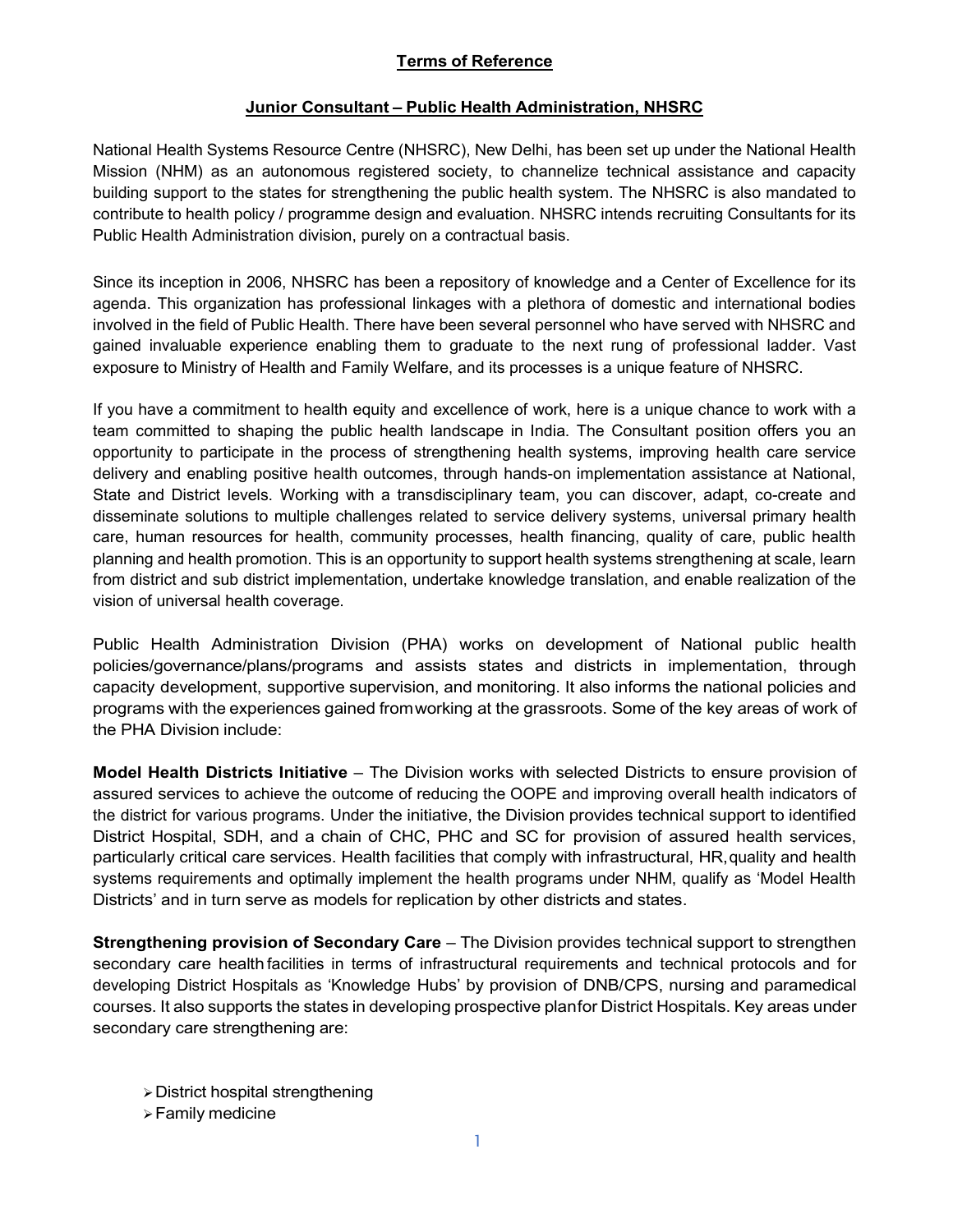## Terms of Reference

### Junior Consultant – Public Health Administration, NHSRC

National Health Systems Resource Centre (NHSRC), New Delhi, has been set up under the National Health Mission (NHM) as an autonomous registered society, to channelize technical assistance and capacity building support to the states for strengthening the public health system. The NHSRC is also mandated to contribute to health policy / programme design and evaluation. NHSRC intends recruiting Consultants for its Public Health Administration division, purely on a contractual basis.

Since its inception in 2006, NHSRC has been a repository of knowledge and a Center of Excellence for its agenda. This organization has professional linkages with a plethora of domestic and international bodies involved in the field of Public Health. There have been several personnel who have served with NHSRC and gained invaluable experience enabling them to graduate to the next rung of professional ladder. Vast exposure to Ministry of Health and Family Welfare, and its processes is a unique feature of NHSRC.

If you have a commitment to health equity and excellence of work, here is a unique chance to work with a team committed to shaping the public health landscape in India. The Consultant position offers you an opportunity to participate in the process of strengthening health systems, improving health care service delivery and enabling positive health outcomes, through hands-on implementation assistance at National, State and District levels. Working with a transdisciplinary team, you can discover, adapt, co-create and disseminate solutions to multiple challenges related to service delivery systems, universal primary health care, human resources for health, community processes, health financing, quality of care, public health planning and health promotion. This is an opportunity to support health systems strengthening at scale, learn from district and sub district implementation, undertake knowledge translation, and enable realization of the vision of universal health coverage.

Public Health Administration Division (PHA) works on development of National public health policies/governance/plans/programs and assists states and districts in implementation, through capacity development, supportive supervision, and monitoring. It also informs the national policies and programs with the experiences gained from working at the grassroots. Some of the key areas of work of the PHA Division include:

Model Health Districts Initiative – The Division works with selected Districts to ensure provision of assured services to achieve the outcome of reducing the OOPE and improving overall health indicators of the district for various programs. Under the initiative, the Division provides technical support to identified District Hospital, SDH, and a chain of CHC, PHC and SC for provision of assured health services, particularly critical care services. Health facilities that comply with infrastructural, HR, quality and health systems requirements and optimally implement the health programs under NHM, qualify as 'Model Health Districts' and in turn serve as models for replication by other districts and states.

Strengthening provision of Secondary Care – The Division provides technical support to strengthen secondary care health facilities in terms of infrastructural requirements and technical protocols and for developing District Hospitals as 'Knowledge Hubs' by provision of DNB/CPS, nursing and paramedical courses. It also supports the states in developing prospective plan for District Hospitals. Key areas under secondary care strengthening are:

- District hospital strengthening
- $\triangleright$  Family medicine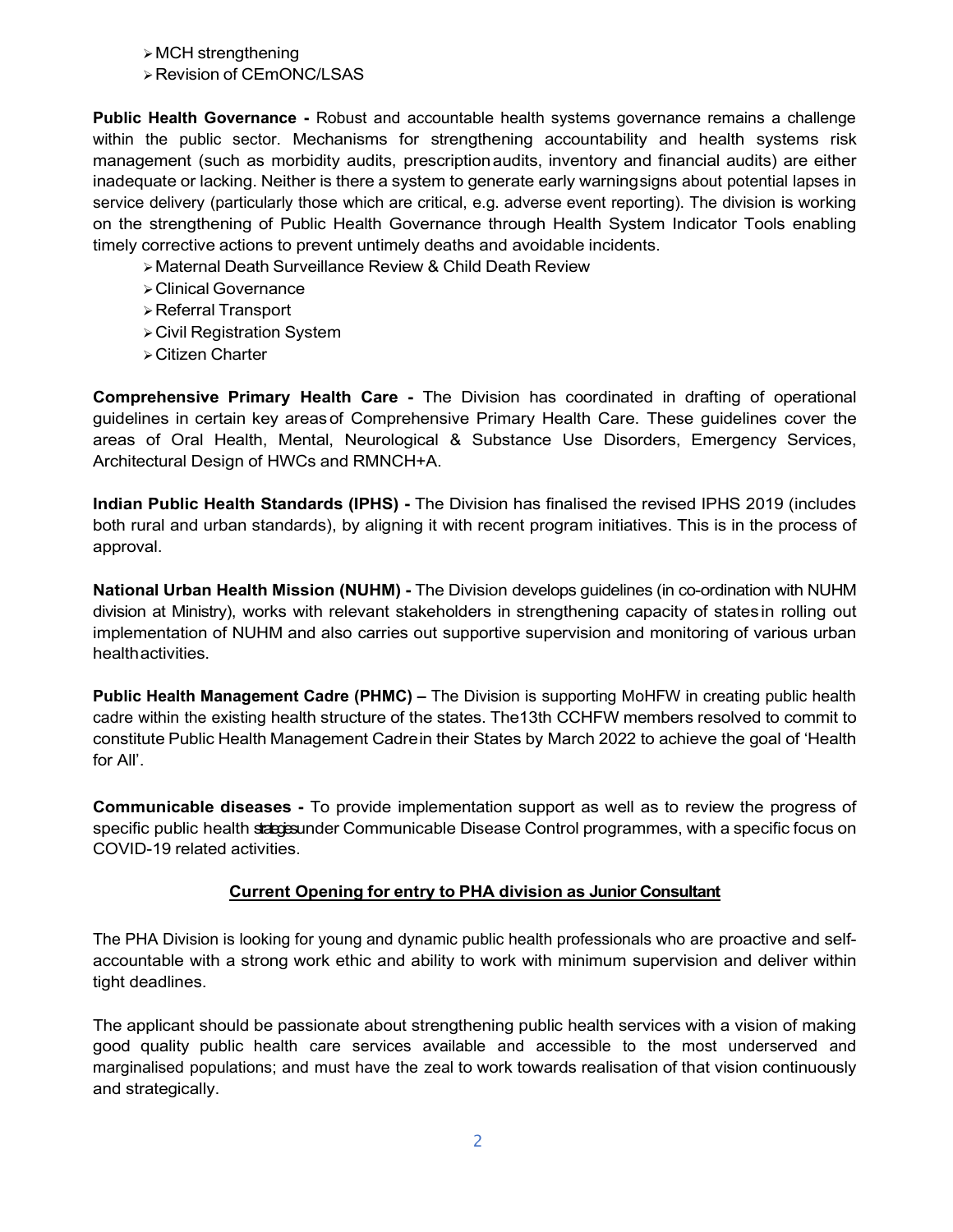$\triangleright$  MCH strengthening

Revision of CEmONC/LSAS

Public Health Governance - Robust and accountable health systems governance remains a challenge within the public sector. Mechanisms for strengthening accountability and health systems risk management (such as morbidity audits, prescription audits, inventory and financial audits) are either inadequate or lacking. Neither is there a system to generate early warning signs about potential lapses in service delivery (particularly those which are critical, e.g. adverse event reporting). The division is working on the strengthening of Public Health Governance through Health System Indicator Tools enabling timely corrective actions to prevent untimely deaths and avoidable incidents.

- Maternal Death Surveillance Review & Child Death Review
- Clinical Governance
- Referral Transport
- Civil Registration System
- Citizen Charter

Comprehensive Primary Health Care - The Division has coordinated in drafting of operational guidelines in certain key areas of Comprehensive Primary Health Care. These guidelines cover the areas of Oral Health, Mental, Neurological & Substance Use Disorders, Emergency Services, Architectural Design of HWCs and RMNCH+A.

Indian Public Health Standards (IPHS) - The Division has finalised the revised IPHS 2019 (includes both rural and urban standards), by aligning it with recent program initiatives. This is in the process of approval.

National Urban Health Mission (NUHM) - The Division develops guidelines (in co-ordination with NUHM division at Ministry), works with relevant stakeholders in strengthening capacity of states in rolling out implementation of NUHM and also carries out supportive supervision and monitoring of various urban health activities.

Public Health Management Cadre (PHMC) – The Division is supporting MoHFW in creating public health cadre within the existing health structure of the states. The13th CCHFW members resolved to commit to constitute Public Health Management Cadre in their States by March 2022 to achieve the goal of 'Health for All'.

Communicable diseases - To provide implementation support as well as to review the progress of specific public health state example Communicable Disease Control programmes, with a specific focus on COVID-19 related activities.

#### Current Opening for entry to PHA division as Junior Consultant

The PHA Division is looking for young and dynamic public health professionals who are proactive and selfaccountable with a strong work ethic and ability to work with minimum supervision and deliver within tight deadlines.

The applicant should be passionate about strengthening public health services with a vision of making good quality public health care services available and accessible to the most underserved and marginalised populations; and must have the zeal to work towards realisation of that vision continuously and strategically.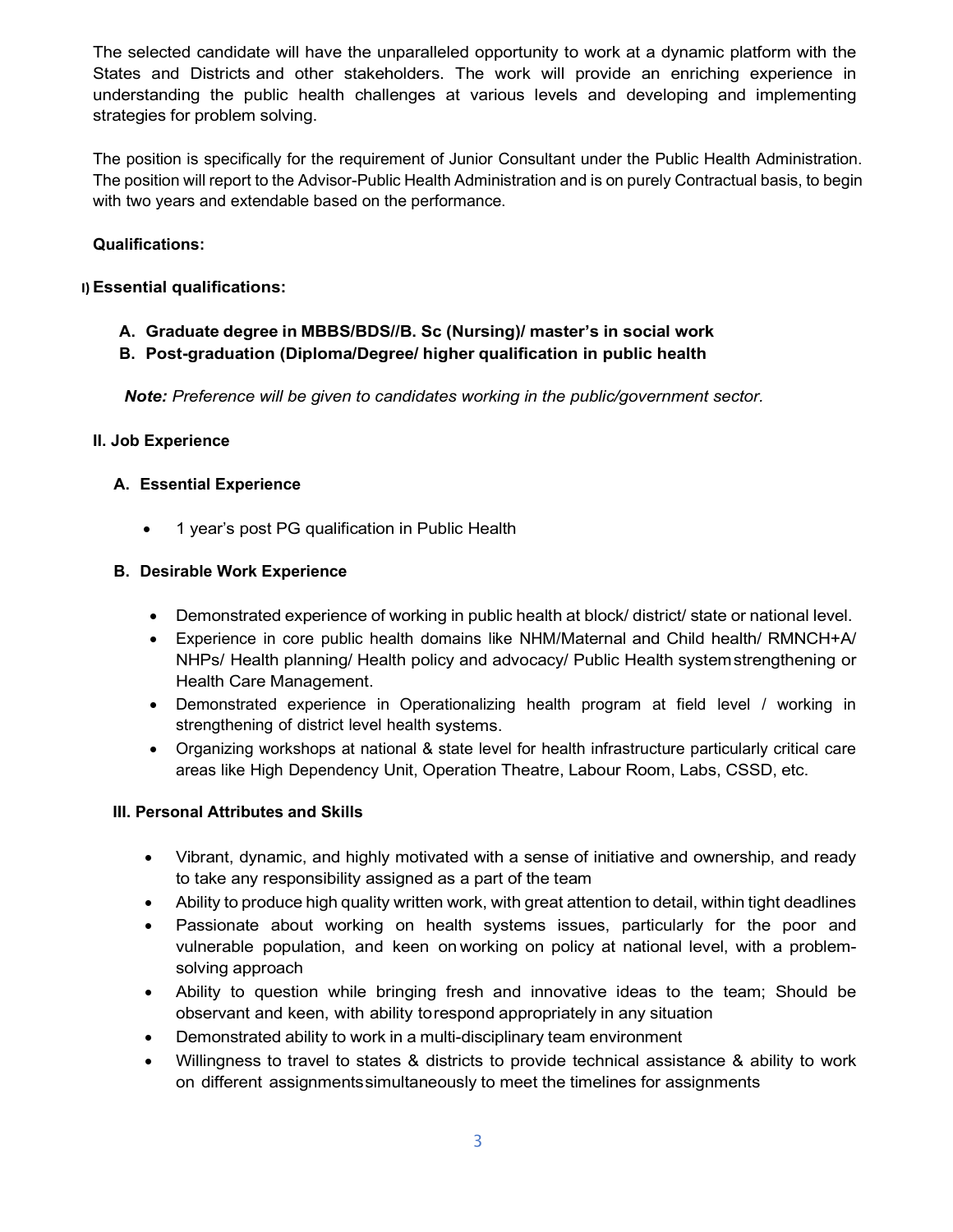The selected candidate will have the unparalleled opportunity to work at a dynamic platform with the States and Districts and other stakeholders. The work will provide an enriching experience in understanding the public health challenges at various levels and developing and implementing strategies for problem solving.

The position is specifically for the requirement of Junior Consultant under the Public Health Administration. The position will report to the Advisor-Public Health Administration and is on purely Contractual basis, to begin with two years and extendable based on the performance.

## Qualifications:

### I) Essential qualifications:

- A. Graduate degree in MBBS/BDS//B. Sc (Nursing)/ master's in social work
- B. Post-graduation (Diploma/Degree/ higher qualification in public health

Note: Preference will be given to candidates working in the public/government sector.

### II. Job Experience

## A. Essential Experience

• 1 year's post PG qualification in Public Health

### B. Desirable Work Experience

- Demonstrated experience of working in public health at block/ district/ state or national level.
- Experience in core public health domains like NHM/Maternal and Child health/ RMNCH+A/ NHPs/ Health planning/ Health policy and advocacy/ Public Health system strengthening or Health Care Management.
- Demonstrated experience in Operationalizing health program at field level / working in strengthening of district level health systems.
- Organizing workshops at national & state level for health infrastructure particularly critical care areas like High Dependency Unit, Operation Theatre, Labour Room, Labs, CSSD, etc.

## III. Personal Attributes and Skills

- Vibrant, dynamic, and highly motivated with a sense of initiative and ownership, and ready to take any responsibility assigned as a part of the team
- Ability to produce high quality written work, with great attention to detail, within tight deadlines
- Passionate about working on health systems issues, particularly for the poor and vulnerable population, and keen on working on policy at national level, with a problemsolving approach
- Ability to question while bringing fresh and innovative ideas to the team; Should be observant and keen, with ability to respond appropriately in any situation
- Demonstrated ability to work in a multi-disciplinary team environment
- Willingness to travel to states & districts to provide technical assistance & ability to work on different assignments simultaneously to meet the timelines for assignments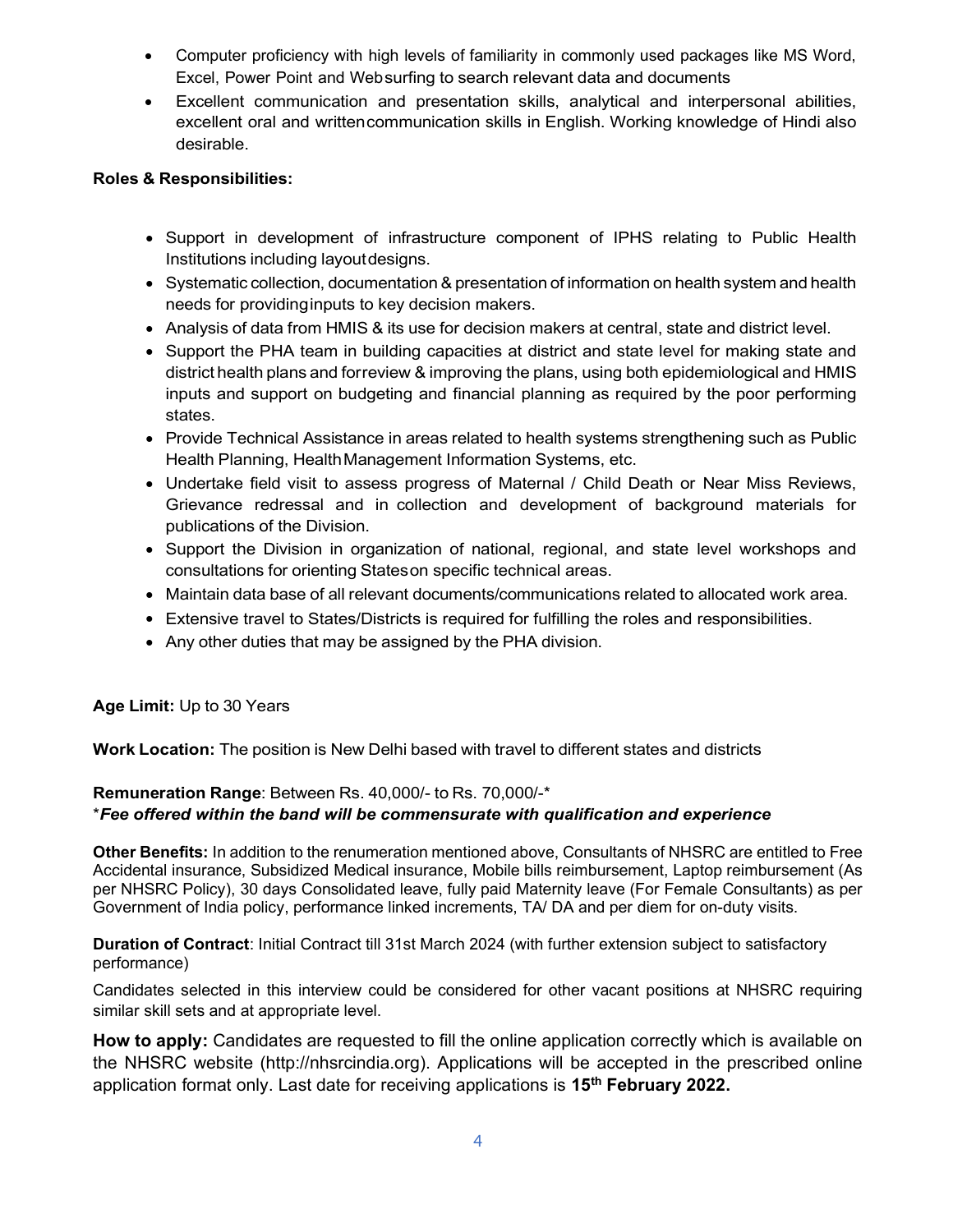- Computer proficiency with high levels of familiarity in commonly used packages like MS Word, Excel, Power Point and Web surfing to search relevant data and documents
- Excellent communication and presentation skills, analytical and interpersonal abilities, excellent oral and written communication skills in English. Working knowledge of Hindi also desirable.

### Roles & Responsibilities:

- Support in development of infrastructure component of IPHS relating to Public Health Institutions including layout designs.
- Systematic collection, documentation & presentation of information on health system and health needs for providing inputs to key decision makers.
- Analysis of data from HMIS & its use for decision makers at central, state and district level.
- Support the PHA team in building capacities at district and state level for making state and district health plans and for review & improving the plans, using both epidemiological and HMIS inputs and support on budgeting and financial planning as required by the poor performing states.
- Provide Technical Assistance in areas related to health systems strengthening such as Public Health Planning, Health Management Information Systems, etc.
- Undertake field visit to assess progress of Maternal / Child Death or Near Miss Reviews, Grievance redressal and in collection and development of background materials for publications of the Division.
- Support the Division in organization of national, regional, and state level workshops and consultations for orienting States on specific technical areas.
- Maintain data base of all relevant documents/communications related to allocated work area.
- Extensive travel to States/Districts is required for fulfilling the roles and responsibilities.
- Any other duties that may be assigned by the PHA division.

#### Age Limit: Up to 30 Years

Work Location: The position is New Delhi based with travel to different states and districts

## Remuneration Range: Between Rs. 40,000/- to Rs. 70,000/-\*

#### \*Fee offered within the band will be commensurate with qualification and experience

Other Benefits: In addition to the renumeration mentioned above, Consultants of NHSRC are entitled to Free Accidental insurance, Subsidized Medical insurance, Mobile bills reimbursement, Laptop reimbursement (As per NHSRC Policy), 30 days Consolidated leave, fully paid Maternity leave (For Female Consultants) as per Government of India policy, performance linked increments, TA/ DA and per diem for on-duty visits.

Duration of Contract: Initial Contract till 31st March 2024 (with further extension subject to satisfactory performance)

Candidates selected in this interview could be considered for other vacant positions at NHSRC requiring similar skill sets and at appropriate level.

How to apply: Candidates are requested to fill the online application correctly which is available on the NHSRC website (http://nhsrcindia.org). Applications will be accepted in the prescribed online application format only. Last date for receiving applications is 15<sup>th</sup> February 2022.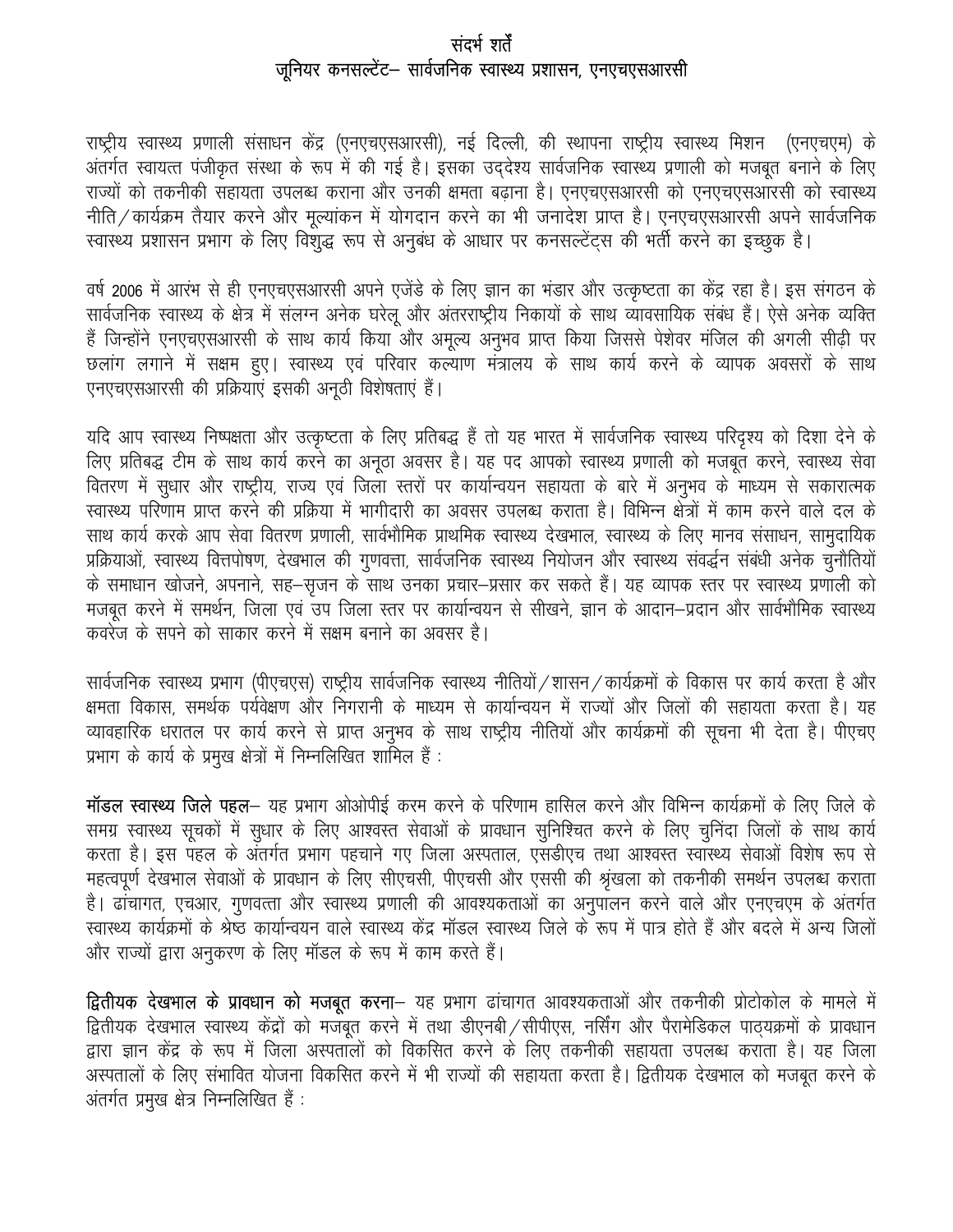# संदर्भ शर्तें जुनियर कनसल्टेंट– सार्वजनिक स्वास्थ्य प्रशासन, एनएचएसआरसी

राष्ट्रीय स्वास्थ्य प्रणाली संसाधन केंद्र (एनएचएसआरसी), नई दिल्ली, की स्थापना राष्ट्रीय स्वास्थ्य मिशन (एनएचएम) के अंतर्गत स्वायत्त पंजीकृत संस्था के रूप में की गई है। इसका उददेश्य सार्वजनिक स्वास्थ्य प्रणाली को मजबूत बनाने के लिए राज्यों को तकनीकी सहायता उपलब्ध कराना और उनकी क्षमता बढ़ाना है। एनएचएसआरसी को एनएचएसआरसी को स्वास्थ्य नीति / कार्यक्रम तैयार करने और मूल्यांकन में योगदान करने का भी जनादेश प्राप्त है। एनएचएसआरसी अपने सार्वजनिक स्वास्थ्य प्रशासन प्रभाग के लिए विशुद्ध रूप से अनुबंध के आधार पर कनसल्टेंट्स की भर्ती करने का इच्छुक है।

वर्ष 2006 में आरंभ से ही एनएचएसआरसी अपने एजेंडे के लिए ज्ञान का भंडार और उत्कृष्टता का केंद्र रहा है। इस संगठन के सार्वजनिक स्वास्थ्य के क्षेत्र में संलग्न अनेक घरेलू और अंतरराष्ट्रीय निकायों के साथ व्यावसायिक संबंध हैं। ऐसे अनेक व्यक्ति हैं जिन्होंने एनएचएसआरसी के साथ कार्य किया और अमूल्य अनुभव प्राप्त किया जिससे पेशेवर मंजिल की अगली सीढ़ी पर छलांग लगाने में सक्षम हुए। स्वास्थ्य एवं परिवार कल्याण मंत्रालय के साथ कार्य करने के व्यापक अवसरों के साथ एनएचएसआरसी की प्रक्रियाएं इसकी अनूठी विशेषताएं हैं।

यदि आप स्वास्थ्य निष्पक्षता और उत्कृष्टता के लिए प्रतिबद्ध हैं तो यह भारत में सार्वजनिक स्वास्थ्य परिदृश्य को दिशा देने के लिए प्रतिबद्ध टीम के साथ कार्य करने का अनूठा अवसर है। यह पद आपको स्वास्थ्य प्रणाली को मजबूत करने, स्वास्थ्य सेवा वितरण में सुधार और राष्ट्रीय, राज्य एवं जिला स्तरों पर कार्यान्वयन सहायता के बारे में अनुभव के माध्यम से सकारात्मक स्वास्थ्य परिणाम प्राप्त करने की प्रक्रिया में भागीदारी का अवसर उपलब्ध कराता है। विभिन्न क्षेत्रों में काम करने वाले दल के साथ कार्य करके आप सेवा वितरण प्रणाली, सार्वभौमिक प्राथमिक स्वास्थ्य देखभाल, स्वास्थ्य के लिए मानव संसाधन, सामुदायिक प्रक्रियाओं, स्वास्थ्य वित्तपोषण, देखभाल की गुणवत्ता, सार्वजनिक स्वास्थ्य नियोजन और स्वास्थ्य संवर्द्धन संबंधी अनेक चुनौतियों के समाधान खोजने, अपनाने, सह–सृजन के साथ उनका प्रचार–प्रसार कर सकते हैं। यह व्यापक स्तर पर स्वास्थ्य प्रणाली को मजबुत करने में समर्थन, जिला एवं उप जिला स्तर पर कार्यान्वयन से सीखने, ज्ञान के आदान–प्रदान और सार्वभौमिक स्वास्थ्य कवरेंज के सपने को साकार करने में सक्षम बनाने का अवसर है।

सार्वजनिक स्वास्थ्य प्रभाग (पीएचएस) राष्ट्रीय सार्वजनिक स्वास्थ्य नीतियों /शासन / कार्यक्रमों के विकास पर कार्य करता है और क्षमता विकास, समर्थक पर्यवेक्षण और निगरानी के माध्यम से कार्यान्वयन में राज्यों और जिलों की सहायता करता है। यह व्यावहारिक धरातल पर कार्य करने से प्राप्त अनुभव के साथ राष्ट्रीय नीतियों और कार्यक्रमों की सूचना भी देता है। पीएचए प्रभाग के कार्य के प्रमुख क्षेत्रों में निम्नलिखित शामिल हैं :

मॉडल स्वास्थ्य जिले पहल- यह प्रभाग ओओपीई करम करने के परिणाम हासिल करने और विभिन्न कार्यक्रमों के लिए जिले के समग्र स्वास्थ्य सूचकों में सुधार के लिए आश्वस्त सेवाओं के प्रावधान सुनिश्चित करने के लिए चुनिंदा जिलों के साथ कार्य करता है। इस पहल के अंतर्गत प्रभाग पहचाने गए जिला अस्पताल, एसडीएच तथा आश्वस्त स्वास्थ्य सेवाओं विशेष रूप से महत्वपूर्ण देखभाल सेवाओं के प्रावधान के लिए सीएचसी, पीएचसी और एससी की श्रृंखला को तकनीकी समर्थन उपलब्ध कराता है। ढांचागत, एचआर, गुणवत्ता और स्वास्थ्य प्रणाली की आवश्यकताओं का अनुपालन करने वाले और एनएचएम के अंतर्गत स्वास्थ्य कार्यक्रमों के श्रेष्ठ कार्यान्वयन वाले स्वास्थ्य केंद्र मॉडल स्वास्थ्य जिले के रूप में पात्र होते हैं और बदले में अन्य जिलों और राज्यों द्वारा अनुकरण के लिए मॉडल के रूप में काम करते हैं।

**द्वितीयक देखभाल के प्रावधान को मजबूत करना**— यह प्रभाग ढांचागत आवश्यकताओं और तकनीकी प्रोटोकोल के मामले में द्वितीयक देखभाल स्वास्थ्य केंद्रों को मजबूत करने में तथा डीएनबी /सीपीएस, नर्सिंग और पैरामेडिकल पाठ्यक्रमों के प्रावधान द्वारा ज्ञान केंद्र के रूप में जिला अस्पतालों को विकसित करने के लिए तकनीकी सहायता उपलब्ध कराता है। यह जिला अस्पतालों के लिए संभावित योजना विकसित करने में भी राज्यों की सहायता करता है। द्वितीयक देखभाल को मजबूत करने के अंतर्गत प्रमुख क्षेत्र निम्नलिखित हैं :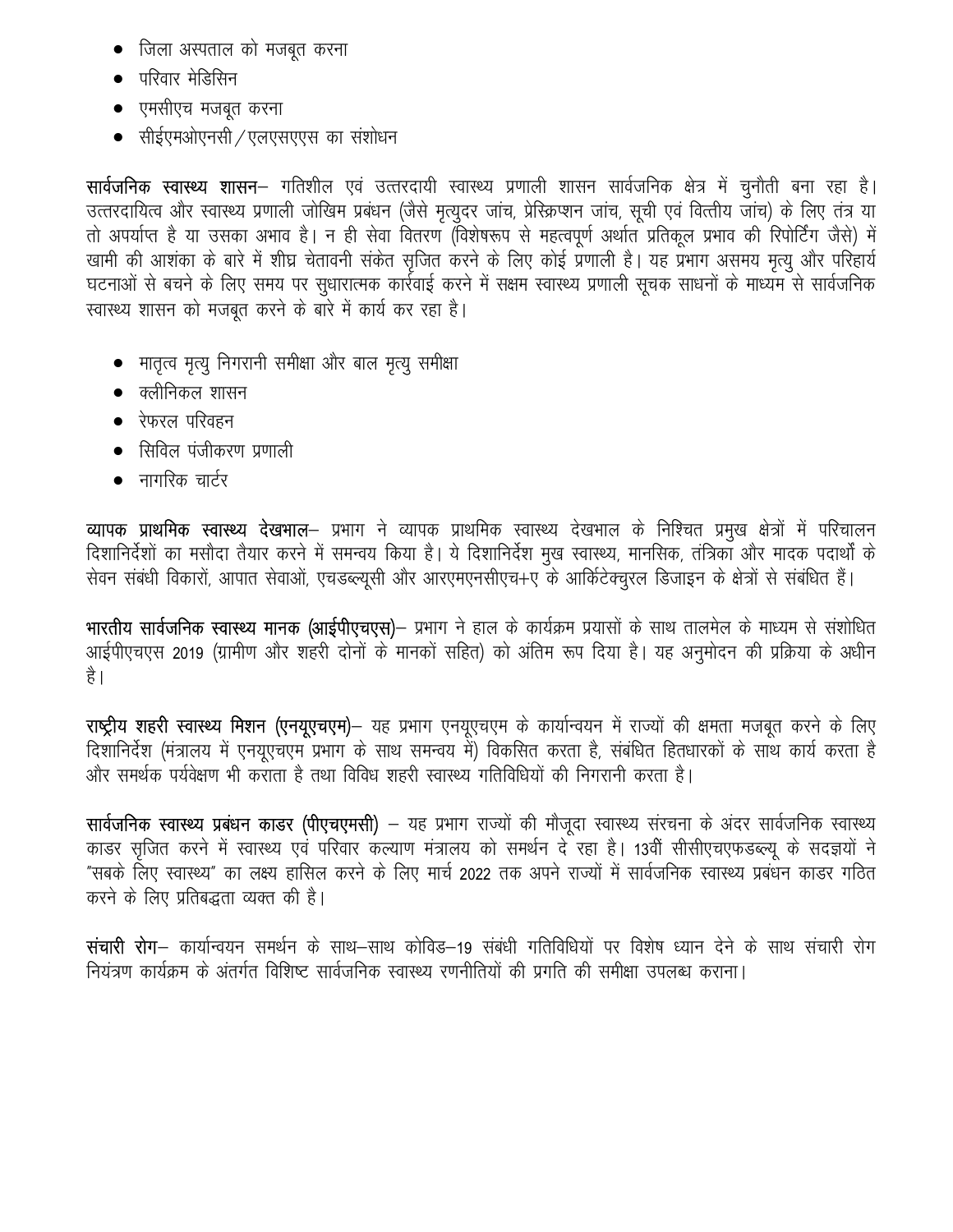- जिला अस्पताल को मजबूत करना
- परिवार मेडिसिन
- एमसीएच मजबूत करना
- सीईएमओएनसी ⁄ एलएसएएस का संशोधन

**सार्वजनिक स्वास्थ्य शासन**— गतिशील एवं उत्तरदायी स्वास्थ्य प्रणाली शासन सार्वजनिक क्षेत्र में चुनौती बना रहा है। उत्तरदायित्व और स्वास्थ्य प्रणाली जोखिम प्रबंधन (जैसे मृत्युदर जांच, प्रेस्क्रिप्शन जांच, सूची एवं वित्तीय जांच) के लिए तंत्र या तो अपर्याप्त है या उसका अभाव है। न ही सेवा वितरण (विशेषरूप से महत्वपूर्ण अर्थात प्रतिकूल प्रभाव की रिपोर्टिंग जैसे) में खामी की आशंका के बारे में शीघ्र चेतावनी संकेत सृजित करने के लिए कोई प्रणाली है। यह प्रभाग असमय मृत्यु और परिहार्य घटनाओं से बचने के लिए समय पर सुधारात्मक कार्रवाई करने में सक्षम स्वास्थ्य प्रणाली सूचक साधनों के माध्यम से सार्वजनिक स्वास्थ्य शासन को मजबूत करने के बारे में कार्य कर रहा है।

- मातृत्व मृत्यु निगरानी समीक्षा और बाल मृत्यु समीक्षा
- $\bullet$  क्लीनिकल शासन
- $\bullet$  रेफरल परिवहन
- सिविल पंजीकरण प्रणाली
- नागरिक चार्टर

व्यापक प्राथमिक स्वास्थ्य देखभाल– प्रभाग ने व्यापक प्राथमिक स्वास्थ्य देखभाल के निश्चित प्रमुख क्षेत्रों में परिचालन दिशानिर्देशों का मसौदा तैयार करने में समन्वय किया है। ये दिशानिर्देश मुख स्वास्थ्य, मानसिक, तंत्रिका और मादक पदार्थों के सेवन संबंधी विकारों, आपात सेवाओं, एचडब्ल्यूसी और आरएमएनसीएच+ए के आर्किटेक्चुरल डिजाइन के क्षेत्रों से संबंधित हैं।

भारतीय सार्वजनिक स्वास्थ्य मानक (आईपीएचएस)– प्रभाग ने हाल के कार्यक्रम प्रयासों के साथ तालमेल के माध्यम से संशोधित आईपीएचएस 2019 (ग्रामीण और शहरी दोनों के मानकों सहित) को अंतिम रूप दिया है। यह अनुमोदन की प्रक्रिया के अधीन है।

राष्ट्रीय शहरी स्वास्थ्य मिशन (एनयूएचएम)– यह प्रभाग एनयूएचएम के कार्यान्वयन में राज्यों की क्षमता मजबूत करने के लिए दिशानिर्देश (मंत्रालय में एनयूएचएम प्रभाग के साथ समन्वय में) विकसित करता है, संबंधित हितधारकों के साथ कार्य करता है और समर्थक पर्यवेक्षण भी कराता है तथा विविध शहरी स्वास्थ्य गतिविधियों की निगरानी करता है।

सार्वजनिक स्वास्थ्य प्रबंधन काडर (पीएचएमसी) – यह प्रभाग राज्यों की मौजूदा स्वास्थ्य संरचना के अंदर सार्वजनिक स्वास्थ्य काडर सृजित करने में स्वास्थ्य एवं परिवार कल्याण मंत्रालय को समर्थन दे रहा है। 13वीं सीसीएचएफडब्ल्यू के सदज्ञयों ने "सबके लिए स्वास्थ्य" का लक्ष्य हासिल करने के लिए मार्च 2022 तक अपने राज्यों में सार्वजनिक स्वास्थ्य प्रबंधन काडर गठित करने के लिए प्रतिबद्धता व्यक्त की है।

संचारी रोग– कार्यान्वयन समर्थन के साथ–साथ कोविड–19 संबंधी गतिविधियों पर विशेष ध्यान देने के साथ संचारी रोग नियंत्रण कार्यक्रम के अंतर्गत विशिष्ट सार्वजनिक स्वास्थ्य रणनीतियों की प्रगति की समीक्षा उपलब्ध कराना।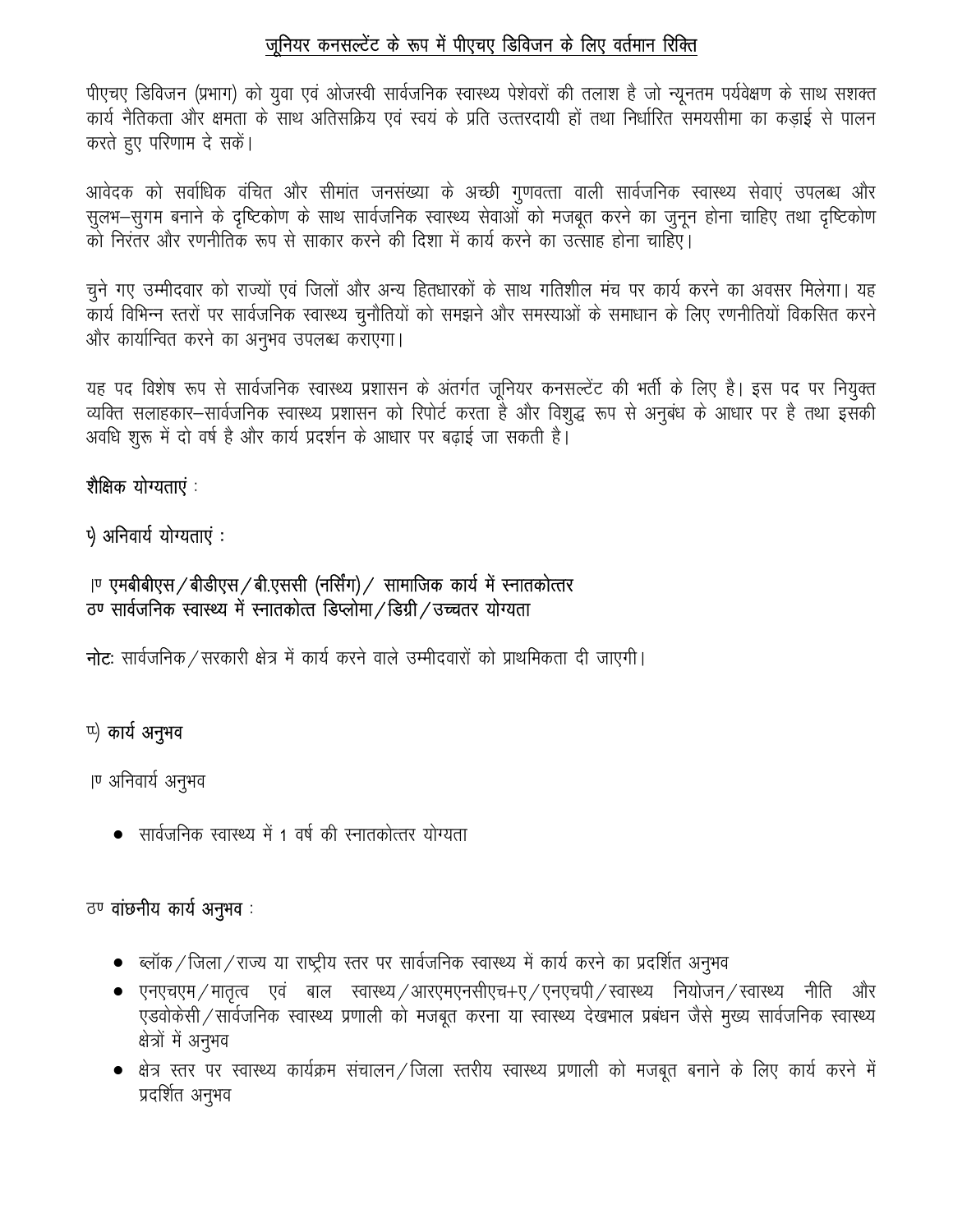# जुनियर कनसल्टेंट के रूप में पीएचए डिविजन के लिए वर्तमान रिक्ति

पीएचए डिविजन (प्रभाग) को युवा एवं ओजस्वी सार्वजनिक स्वास्थ्य पेशेवरों की तलाश है जो न्यूनतम पर्यवेक्षण के साथ सशक्त कार्य नैतिकता और क्षमता के साथ अतिसक्रिय एवं स्वयं के प्रति उत्तरदायी हों तथा निर्धारित समयसीमा का कड़ाई से पालन करते हुए परिणाम दे सकें।

आवेदक को सर्वाधिक वंचित और सीमांत जनसंख्या के अच्छी गुणवत्ता वाली सार्वजनिक स्वास्थ्य सेवाएं उपलब्ध और सुलभ–सुगम बनाने के दृष्टिकोण के साथ सार्वजनिक स्वास्थ्य सेवाओं को मजबूत करने का जुनून होना चाहिए तथा दृष्टिकोण को निरंतर और रणनीतिक रूप से साकार करने की दिशा में कार्य करने का उत्साह होना चाहिए।

चुने गए उम्मीदवार को राज्यों एवं जिलों और अन्य हितधारकों के साथ गतिशील मंच पर कार्य करने का अवसर मिलेगा। यह कार्य विभिन्न स्तरों पर सार्वजनिक स्वास्थ्य चुनौतियों को समझने और समस्याओं के समाधान के लिए रणनीतियों विकसित करने और कार्यान्वित करने का अनुभव उपलब्ध कराएगा।

यह पद विशेष रूप से सार्वजनिक स्वास्थ्य प्रशासन के अंतर्गत जूनियर कनसल्टेंट की भर्ती के लिए है। इस पद पर नियुक्त व्यक्ति सलाहकार-सार्वजनिक स्वास्थ्य प्रशासन को रिपोर्ट करता है और विशुद्ध रूप से अनुबंध के आधार पर है तथा इसकी अवधि शुरू में दो वर्ष है और कार्य प्रदर्शन के आधार पर बढाई जा सकती है।

# शैक्षिक योग्यताएं :

५) अनिवार्य योग्यताएं :

# |ण एमबीबीएस / बीडीएस / बी.एससी (नर्सिंग) / सामाजिक कार्य में स्नातकोत्तर ठण सार्वजनिक स्वास्थ्य में स्नातकोत्त डिप्लोमा / डिग्री / उच्चतर योग्यता

**नोट:** सार्वजनिक / सरकारी क्षेत्र में कार्य करने वाले उम्मीदवारों को प्राथमिकता दी जाएगी।

# u) कार्य अनुभव

।ण अनिवार्य अनुभव

• सार्वजनिक स्वास्थ्य में 1 वर्ष की स्नातकोत्तर योग्यता

# ठण **वांछनीय कार्य अनुभव**:

- ब्लॉक / जिला / राज्य या राष्ट्रीय स्तर पर सार्वजनिक स्वास्थ्य में कार्य करने का प्रदर्शित अनुभव
- $\bullet$  एनएचएम $\!/$ मातृत्व एवं बाल स्वास्थ्य $\!/$ आरएमएनसीएच $+$ ए $\!/$ एनएचपी $\!/$ स्वास्थ्य नियोजन $\!/$ स्वास्थ्य नीति और एडवोकेसी / सार्वजनिक स्वास्थ्य प्रणाली को मजबूत करना या स्वास्थ्य देखभाल प्रबंधन जैसे मुख्य सार्वजनिक स्वास्थ्य क्षेत्रों में अनुभव
- क्षेत्र स्तर पर स्वास्थ्य कार्यक्रम संचालन / जिला स्तरीय स्वास्थ्य प्रणाली को मजबूत बनाने के लिए कार्य करने में प्रदर्शित अनुभव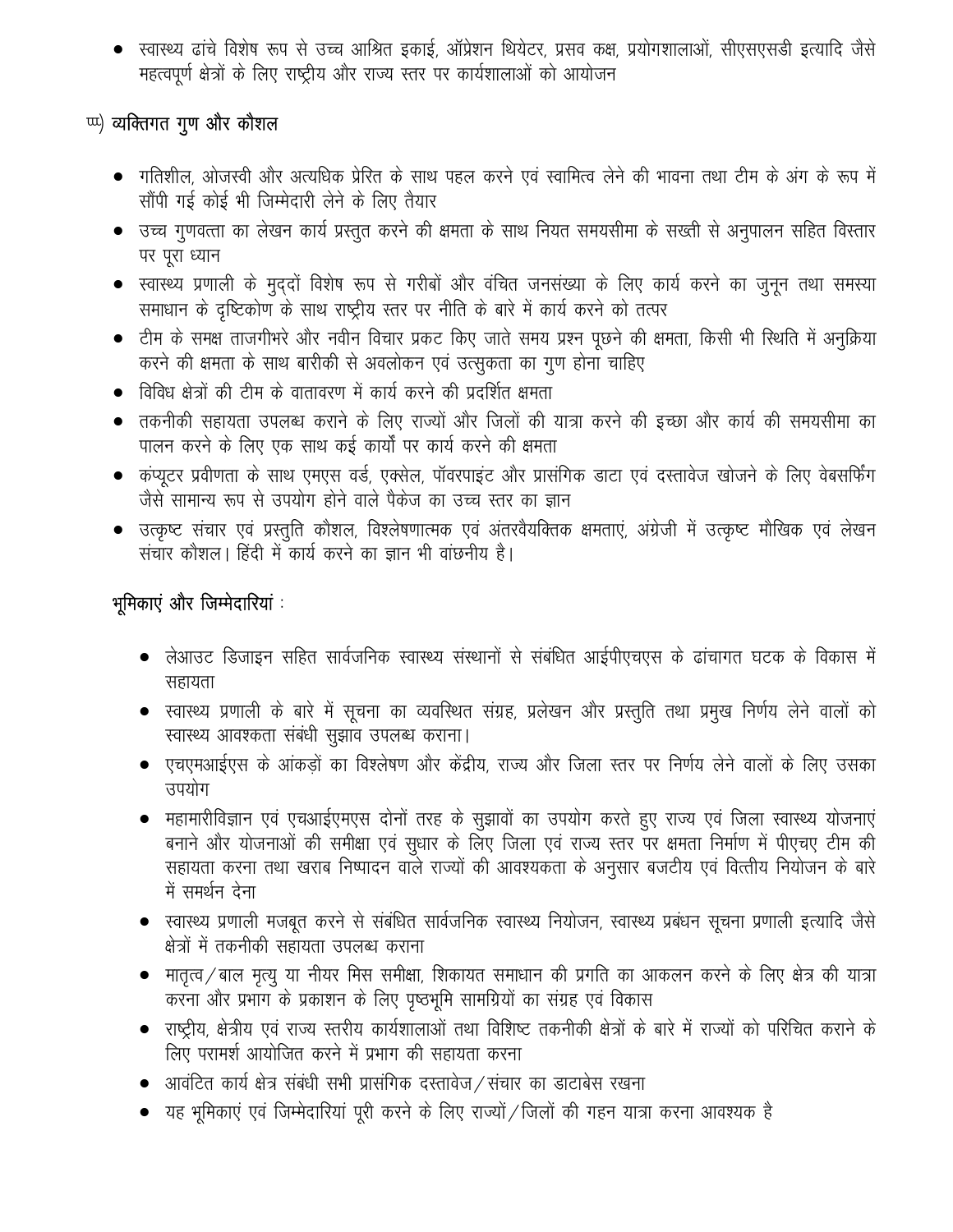• स्वास्थ्य ढांचे विशेष रूप से उच्च आश्रित इकाई, ऑप्रेशन थियेटर, प्रसव कक्ष, प्रयोगशालाओं, सीएसएसडी इत्यादि जैसे महत्वपूर्ण क्षेत्रों के लिए राष्ट्रीय और राज्य स्तर पर कार्यशालाओं को आयोजन

# <sup>tux</sup>) व्यक्तिगत गुण और कौशल

- गतिशील, ओजस्वी और अत्यधिक प्रेरित के साथ पहल करने एवं स्वामित्व लेने की भावना तथा टीम के अंग के रूप में सौंपी गई कोई भी जिम्मेदारी लेने के लिए तैयार
- उच्च गुणवत्ता का लेखन कार्य प्रस्तुत करने की क्षमता के साथ नियत समयसीमा के सख्ती से अनुपालन सहित विस्तार पर पूरा ध्यान
- स्वास्थ्य प्रणाली के मुद्दों विशेष रूप से गरीबों और वंचित जनसंख्या के लिए कार्य करने का जुनून तथा समस्या समाधान के दृष्टिकोण के साथ राष्ट्रीय स्तर पर नीति के बारे में कार्य करने को तत्पर
- टीम के समक्ष ताजगीभरे और नवीन विचार प्रकट किए जाते समय प्रश्न पूछने की क्षमता, किसी भी रिथति में अनुक्रिया करने की क्षमता के साथ बारीकी से अवलोकन एवं उत्सुकता का गुण होना चाहिए
- विविध क्षेत्रों की टीम के वातावरण में कार्य करने की प्रदर्शित क्षमता
- तकनीकी सहायता उपलब्ध कराने के लिए राज्यों और जिलों की यात्रा करने की इच्छा और कार्य की समयसीमा का पालन करने के लिए एक साथ कई कार्यों पर कार्य करने की क्षमता
- कंप्यूटर प्रवीणता के साथ एमएस वर्ड, एक्सेल, पॉवरपाइंट और प्रासंगिक डाटा एवं दस्तावेज खोजने के लिए वेबसर्फिंग जैसे सामान्य रूप से उपयोग होने वाले पैकेज का उच्च स्तर का ज्ञान
- उत्कृष्ट संचार एवं प्रस्तुति कौशल, विश्लेषणात्मक एवं अंतरवैयक्तिक क्षमताएं, अंग्रेजी में उत्कृष्ट मौखिक एवं लेखन संचार कौशल। हिंदी में कार्य करने का ज्ञान भी वांछनीय है।

# भूमिकाएं और जिम्मेदारियां :

- लेआउट डिजाइन सहित सार्वजनिक स्वास्थ्य संस्थानों से संबंधित आईपीएचएस के ढांचागत घटक के विकास में सहायता
- स्वास्थ्य प्रणाली के बारे में सूचना का व्यवस्थित संग्रह, प्रलेखन और प्रस्तुति तथा प्रमुख निर्णय लेने वालों को स्वास्थ्य आवश्कता संबंधी सूझाव उपलब्ध कराना।
- एचएमआईएस के आंकड़ों का विश्लेषण और केंद्रीय, राज्य और जिला स्तर पर निर्णय लेने वालों के लिए उसका उपयोग
- महामारीविज्ञान एवं एचआईएमएस दोनों तरह के सुझावों का उपयोग करते हुए राज्य एवं जिला स्वास्थ्य योजनाएं बनाने और योजनाओं की समीक्षा एवं सुधार के लिए जिला एवं राज्य स्तर पर क्षमता निर्माण में पीएचए टीम की सहायता करना तथा खराब निष्पादन वाले राज्यों की आवश्यकता के अनुसार बजटीय एवं वित्तीय नियोजन के बारे में समर्थन देना
- स्वास्थ्य प्रणाली मजबूत करने से संबंधित सार्वजनिक स्वास्थ्य नियोजन, स्वास्थ्य प्रबंधन सूचना प्रणाली इत्यादि जैसे क्षेत्रों में तकनीकी सहायता उपलब्ध कराना
- मातृत्व / बाल मृत्यु या नीयर मिस समीक्षा, शिकायत समाधान की प्रगति का आकलन करने के लिए क्षेत्र की यात्रा करना और प्रभाग के प्रकाशन के लिए पृष्ठभूमि सामग्रियों का संग्रह एवं विकास
- राष्ट्रीय, क्षेत्रीय एवं राज्य स्तरीय कार्यशालाओं तथा विशिष्ट तकनीकी क्षेत्रों के बारे में राज्यों को परिचित कराने के लिए परामर्श आयोजित करने में प्रभाग की सहायता करना
- $\bullet$  ) आवंटित कार्य क्षेत्र संबंधी सभी प्रासंगिक दस्तावेज $\,$ संचार का डाटाबेस रखना
- यह भूमिकाएं एवं जिम्मेदारियां पुरी करने के लिए राज्यों / जिलों की गहन यात्रा करना आवश्यक है